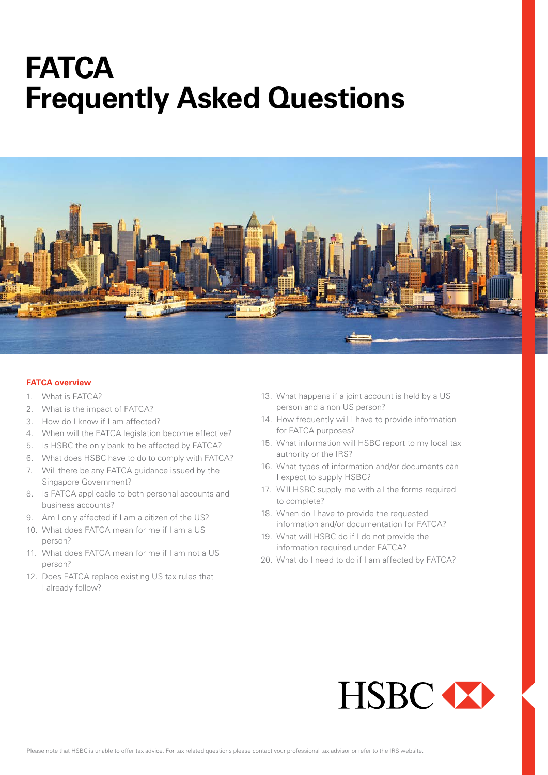# **FATCA Frequently Asked Questions**



# **FATCA overview**

- 1. What is FATCA?
- 2. What is the impact of FATCA?
- 3. How do I know if I am affected?
- 4. When will the FATCA legislation become effective?
- 5. Is HSBC the only bank to be affected by FATCA?
- 6. What does HSBC have to do to comply with FATCA?
- 7. Will there be any FATCA guidance issued by the Singapore Government?
- 8. Is FATCA applicable to both personal accounts and business accounts?
- 9. Am I only affected if I am a citizen of the US?
- 10. What does FATCA mean for me if I am a US person?
- 11. What does FATCA mean for me if I am not a US person?
- 12. Does FATCA replace existing US tax rules that I already follow?
- 13. What happens if a joint account is held by a US person and a non US person?
- 14. How frequently will I have to provide information for FATCA purposes?
- 15. What information will HSBC report to my local tax authority or the IRS?
- 16. What types of information and/or documents can I expect to supply HSBC?
- 17. Will HSBC supply me with all the forms required to complete?
- 18. When do I have to provide the requested information and/or documentation for FATCA?
- 19. What will HSBC do if I do not provide the information required under FATCA?
- 20. What do I need to do if I am affected by FATCA?

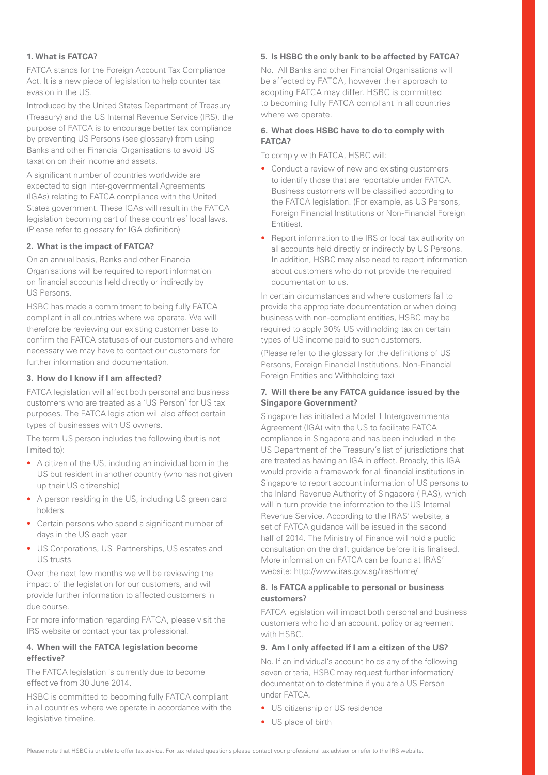# **1. What is FATCA?**

FATCA stands for the Foreign Account Tax Compliance Act. It is a new piece of legislation to help counter tax evasion in the US.

Introduced by the United States Department of Treasury (Treasury) and the US Internal Revenue Service (IRS), the purpose of FATCA is to encourage better tax compliance by preventing US Persons (see glossary) from using Banks and other Financial Organisations to avoid US taxation on their income and assets.

A significant number of countries worldwide are expected to sign Inter-governmental Agreements (IGAs) relating to FATCA compliance with the United States government. These IGAs will result in the FATCA legislation becoming part of these countries' local laws. (Please refer to glossary for IGA definition)

#### **2. What is the impact of FATCA?**

On an annual basis, Banks and other Financial Organisations will be required to report information on financial accounts held directly or indirectly by US Persons.

HSBC has made a commitment to being fully FATCA compliant in all countries where we operate. We will therefore be reviewing our existing customer base to confirm the FATCA statuses of our customers and where necessary we may have to contact our customers for further information and documentation.

# **3. How do I know if I am affected?**

FATCA legislation will affect both personal and business customers who are treated as a 'US Person' for US tax purposes. The FATCA legislation will also affect certain types of businesses with US owners.

The term US person includes the following (but is not limited to):

- A citizen of the US, including an individual born in the US but resident in another country (who has not given up their US citizenship)
- A person residing in the US, including US green card holders
- Certain persons who spend a significant number of days in the US each year
- US Corporations, US Partnerships, US estates and US trusts

Over the next few months we will be reviewing the impact of the legislation for our customers, and will provide further information to affected customers in due course.

For more information regarding FATCA, please visit the IRS website or contact your tax professional.

#### **4. When will the FATCA legislation become effective?**

The FATCA legislation is currently due to become effective from 30 June 2014.

HSBC is committed to becoming fully FATCA compliant in all countries where we operate in accordance with the legislative timeline.

# **5. Is HSBC the only bank to be affected by FATCA?**

No. All Banks and other Financial Organisations will be affected by FATCA, however their approach to adopting FATCA may differ. HSBC is committed to becoming fully FATCA compliant in all countries where we operate.

# **6. What does HSBC have to do to comply with FATCA?**

To comply with FATCA, HSBC will:

- Conduct a review of new and existing customers to identify those that are reportable under FATCA. Business customers will be classified according to the FATCA legislation. (For example, as US Persons, Foreign Financial Institutions or Non-Financial Foreign Entities).
- Report information to the IRS or local tax authority on all accounts held directly or indirectly by US Persons. In addition, HSBC may also need to report information about customers who do not provide the required documentation to us.

In certain circumstances and where customers fail to provide the appropriate documentation or when doing business with non-compliant entities, HSBC may be required to apply 30% US withholding tax on certain types of US income paid to such customers.

(Please refer to the glossary for the definitions of US Persons, Foreign Financial Institutions, Non-Financial Foreign Entities and Withholding tax)

# **7. Will there be any FATCA guidance issued by the Singapore Government?**

Singapore has initialled a Model 1 Intergovernmental Agreement (IGA) with the US to facilitate FATCA compliance in Singapore and has been included in the US Department of the Treasury's list of jurisdictions that are treated as having an IGA in effect. Broadly, this IGA would provide a framework for all financial institutions in Singapore to report account information of US persons to the Inland Revenue Authority of Singapore (IRAS), which will in turn provide the information to the US Internal Revenue Service. According to the IRAS' website, a set of FATCA guidance will be issued in the second half of 2014. The Ministry of Finance will hold a public consultation on the draft guidance before it is finalised. More information on FATCA can be found at IRAS' website: http://www.iras.gov.sg/irasHome/

#### **8. Is FATCA applicable to personal or business customers?**

FATCA legislation will impact both personal and business customers who hold an account, policy or agreement with HSBC.

#### **9. Am I only affected if I am a citizen of the US?**

No. If an individual's account holds any of the following seven criteria, HSBC may request further information/ documentation to determine if you are a US Person under FATCA.

- US citizenship or US residence
- US place of birth